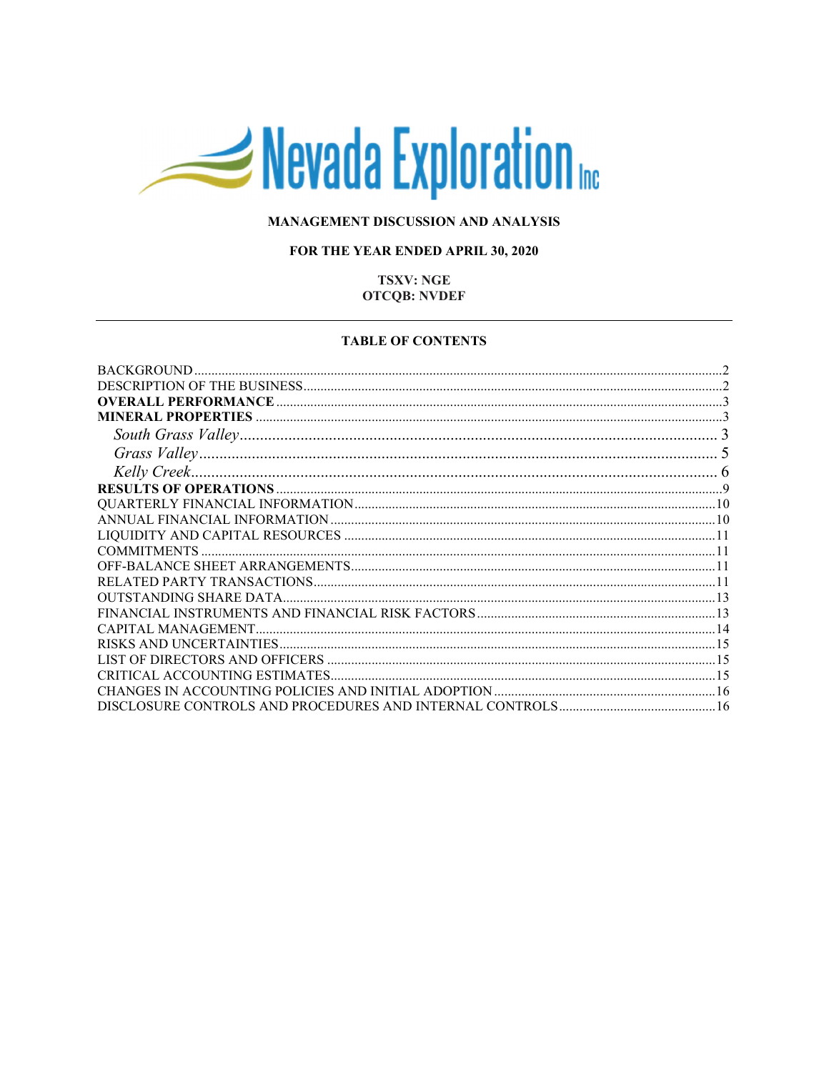# Nevada Exploration

# MANAGEMENT DISCUSSION AND ANALYSIS

## FOR THE YEAR ENDED APRIL 30, 2020

## **TSXV: NGE OTCQB: NVDEF**

#### **TABLE OF CONTENTS**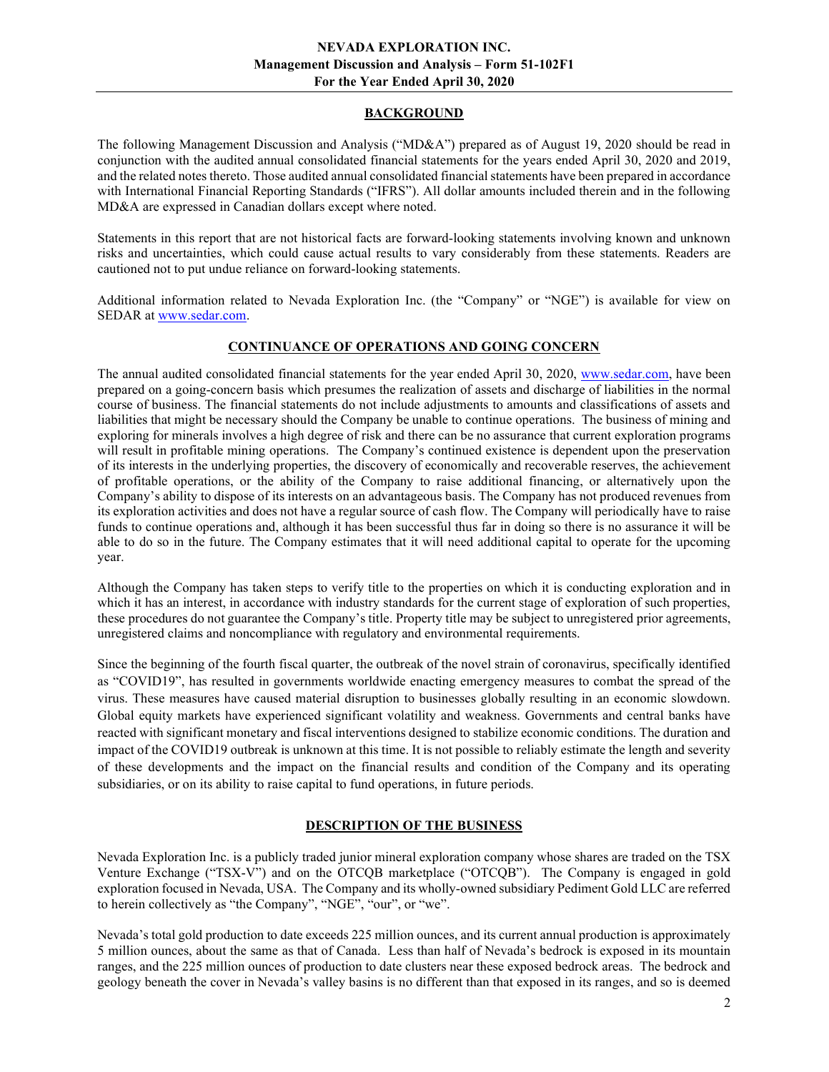## BACKGROUND

The following Management Discussion and Analysis ("MD&A") prepared as of August 19, 2020 should be read in conjunction with the audited annual consolidated financial statements for the years ended April 30, 2020 and 2019, and the related notes thereto. Those audited annual consolidated financial statements have been prepared in accordance with International Financial Reporting Standards ("IFRS"). All dollar amounts included therein and in the following MD&A are expressed in Canadian dollars except where noted.

Statements in this report that are not historical facts are forward-looking statements involving known and unknown risks and uncertainties, which could cause actual results to vary considerably from these statements. Readers are cautioned not to put undue reliance on forward-looking statements.

Additional information related to Nevada Exploration Inc. (the "Company" or "NGE") is available for view on SEDAR at www.sedar.com.

# CONTINUANCE OF OPERATIONS AND GOING CONCERN

The annual audited consolidated financial statements for the year ended April 30, 2020, www.sedar.com, have been prepared on a going-concern basis which presumes the realization of assets and discharge of liabilities in the normal course of business. The financial statements do not include adjustments to amounts and classifications of assets and liabilities that might be necessary should the Company be unable to continue operations. The business of mining and exploring for minerals involves a high degree of risk and there can be no assurance that current exploration programs will result in profitable mining operations. The Company's continued existence is dependent upon the preservation of its interests in the underlying properties, the discovery of economically and recoverable reserves, the achievement of profitable operations, or the ability of the Company to raise additional financing, or alternatively upon the Company's ability to dispose of its interests on an advantageous basis. The Company has not produced revenues from its exploration activities and does not have a regular source of cash flow. The Company will periodically have to raise funds to continue operations and, although it has been successful thus far in doing so there is no assurance it will be able to do so in the future. The Company estimates that it will need additional capital to operate for the upcoming year.

Although the Company has taken steps to verify title to the properties on which it is conducting exploration and in which it has an interest, in accordance with industry standards for the current stage of exploration of such properties, these procedures do not guarantee the Company's title. Property title may be subject to unregistered prior agreements, unregistered claims and noncompliance with regulatory and environmental requirements.

Since the beginning of the fourth fiscal quarter, the outbreak of the novel strain of coronavirus, specifically identified as "COVID19", has resulted in governments worldwide enacting emergency measures to combat the spread of the virus. These measures have caused material disruption to businesses globally resulting in an economic slowdown. Global equity markets have experienced significant volatility and weakness. Governments and central banks have reacted with significant monetary and fiscal interventions designed to stabilize economic conditions. The duration and impact of the COVID19 outbreak is unknown at this time. It is not possible to reliably estimate the length and severity of these developments and the impact on the financial results and condition of the Company and its operating subsidiaries, or on its ability to raise capital to fund operations, in future periods.

# DESCRIPTION OF THE BUSINESS

Nevada Exploration Inc. is a publicly traded junior mineral exploration company whose shares are traded on the TSX Venture Exchange ("TSX-V") and on the OTCQB marketplace ("OTCQB"). The Company is engaged in gold exploration focused in Nevada, USA. The Company and its wholly-owned subsidiary Pediment Gold LLC are referred to herein collectively as "the Company", "NGE", "our", or "we".

Nevada's total gold production to date exceeds 225 million ounces, and its current annual production is approximately 5 million ounces, about the same as that of Canada. Less than half of Nevada's bedrock is exposed in its mountain ranges, and the 225 million ounces of production to date clusters near these exposed bedrock areas. The bedrock and geology beneath the cover in Nevada's valley basins is no different than that exposed in its ranges, and so is deemed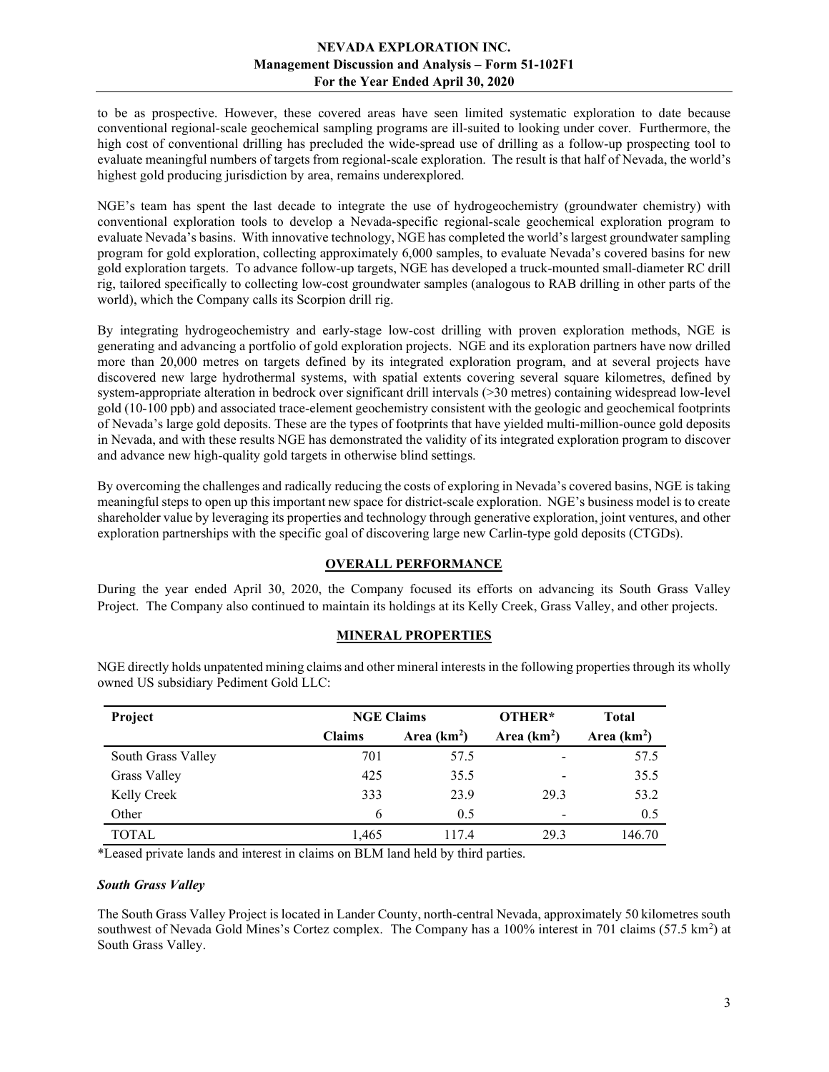to be as prospective. However, these covered areas have seen limited systematic exploration to date because conventional regional-scale geochemical sampling programs are ill-suited to looking under cover. Furthermore, the high cost of conventional drilling has precluded the wide-spread use of drilling as a follow-up prospecting tool to evaluate meaningful numbers of targets from regional-scale exploration. The result is that half of Nevada, the world's highest gold producing jurisdiction by area, remains underexplored.

NGE's team has spent the last decade to integrate the use of hydrogeochemistry (groundwater chemistry) with conventional exploration tools to develop a Nevada-specific regional-scale geochemical exploration program to evaluate Nevada's basins. With innovative technology, NGE has completed the world's largest groundwater sampling program for gold exploration, collecting approximately 6,000 samples, to evaluate Nevada's covered basins for new gold exploration targets. To advance follow-up targets, NGE has developed a truck-mounted small-diameter RC drill rig, tailored specifically to collecting low-cost groundwater samples (analogous to RAB drilling in other parts of the world), which the Company calls its Scorpion drill rig.

By integrating hydrogeochemistry and early-stage low-cost drilling with proven exploration methods, NGE is generating and advancing a portfolio of gold exploration projects. NGE and its exploration partners have now drilled more than 20,000 metres on targets defined by its integrated exploration program, and at several projects have discovered new large hydrothermal systems, with spatial extents covering several square kilometres, defined by system-appropriate alteration in bedrock over significant drill intervals (>30 metres) containing widespread low-level gold (10-100 ppb) and associated trace-element geochemistry consistent with the geologic and geochemical footprints of Nevada's large gold deposits. These are the types of footprints that have yielded multi-million-ounce gold deposits in Nevada, and with these results NGE has demonstrated the validity of its integrated exploration program to discover and advance new high-quality gold targets in otherwise blind settings.

By overcoming the challenges and radically reducing the costs of exploring in Nevada's covered basins, NGE is taking meaningful steps to open up this important new space for district-scale exploration. NGE's business model is to create shareholder value by leveraging its properties and technology through generative exploration, joint ventures, and other exploration partnerships with the specific goal of discovering large new Carlin-type gold deposits (CTGDs).

## OVERALL PERFORMANCE

During the year ended April 30, 2020, the Company focused its efforts on advancing its South Grass Valley Project. The Company also continued to maintain its holdings at its Kelly Creek, Grass Valley, and other projects.

## MINERAL PROPERTIES

| Project            | <b>NGE Claims</b> |              | OTHER*                   | <b>Total</b> |
|--------------------|-------------------|--------------|--------------------------|--------------|
|                    | <b>Claims</b>     | Area $(km2)$ | Area $(km2)$             | Area $(km2)$ |
| South Grass Valley | 701               | 57.5         | ۰                        | 57.5         |
| Grass Valley       | 425               | 35.5         | $\overline{\phantom{0}}$ | 35.5         |
| Kelly Creek        | 333               | 23.9         | 29.3                     | 53.2         |
| Other              | 6                 | 0.5          | $\overline{\phantom{0}}$ | 0.5          |
| <b>TOTAL</b>       | 1,465             | 117.4        | 29.3                     | 146.70       |

NGE directly holds unpatented mining claims and other mineral interests in the following properties through its wholly owned US subsidiary Pediment Gold LLC:

\*Leased private lands and interest in claims on BLM land held by third parties.

#### South Grass Valley

The South Grass Valley Project is located in Lander County, north-central Nevada, approximately 50 kilometres south southwest of Nevada Gold Mines's Cortez complex. The Company has a 100% interest in 701 claims (57.5 km<sup>2</sup>) at South Grass Valley.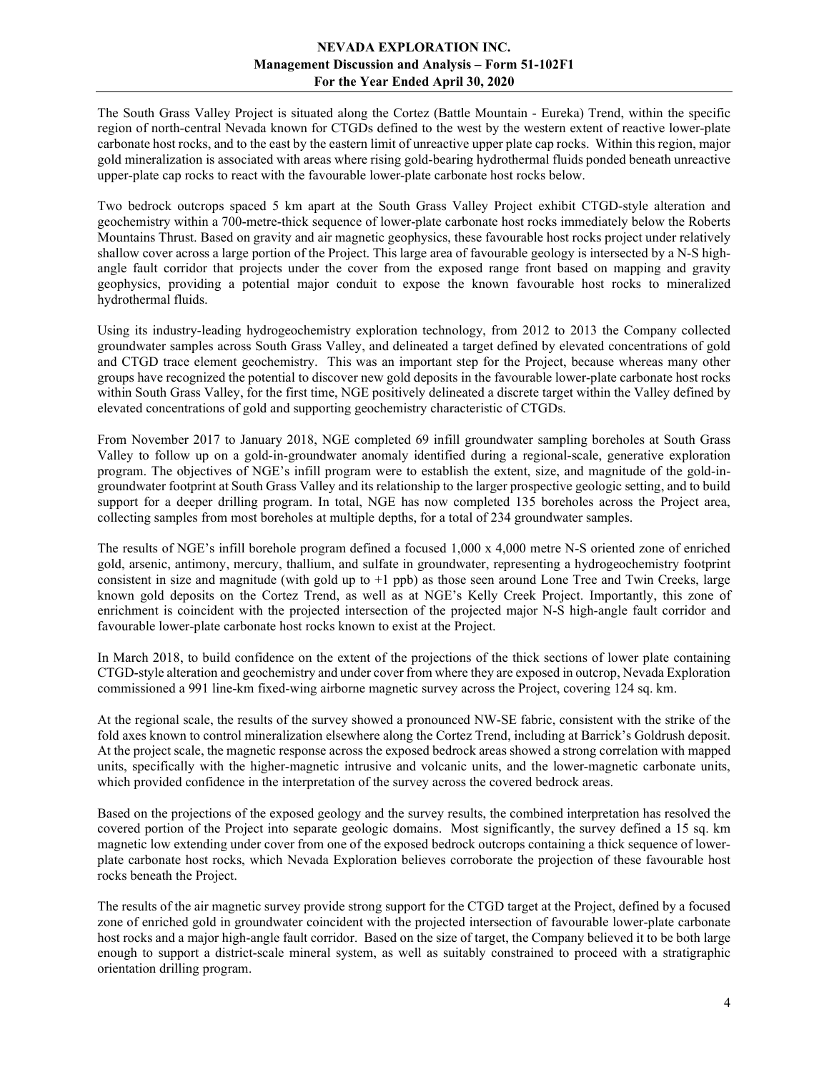The South Grass Valley Project is situated along the Cortez (Battle Mountain - Eureka) Trend, within the specific region of north-central Nevada known for CTGDs defined to the west by the western extent of reactive lower-plate carbonate host rocks, and to the east by the eastern limit of unreactive upper plate cap rocks. Within this region, major gold mineralization is associated with areas where rising gold-bearing hydrothermal fluids ponded beneath unreactive upper-plate cap rocks to react with the favourable lower-plate carbonate host rocks below.

Two bedrock outcrops spaced 5 km apart at the South Grass Valley Project exhibit CTGD-style alteration and geochemistry within a 700-metre-thick sequence of lower-plate carbonate host rocks immediately below the Roberts Mountains Thrust. Based on gravity and air magnetic geophysics, these favourable host rocks project under relatively shallow cover across a large portion of the Project. This large area of favourable geology is intersected by a N-S highangle fault corridor that projects under the cover from the exposed range front based on mapping and gravity geophysics, providing a potential major conduit to expose the known favourable host rocks to mineralized hydrothermal fluids.

Using its industry-leading hydrogeochemistry exploration technology, from 2012 to 2013 the Company collected groundwater samples across South Grass Valley, and delineated a target defined by elevated concentrations of gold and CTGD trace element geochemistry. This was an important step for the Project, because whereas many other groups have recognized the potential to discover new gold deposits in the favourable lower-plate carbonate host rocks within South Grass Valley, for the first time, NGE positively delineated a discrete target within the Valley defined by elevated concentrations of gold and supporting geochemistry characteristic of CTGDs.

From November 2017 to January 2018, NGE completed 69 infill groundwater sampling boreholes at South Grass Valley to follow up on a gold-in-groundwater anomaly identified during a regional-scale, generative exploration program. The objectives of NGE's infill program were to establish the extent, size, and magnitude of the gold-ingroundwater footprint at South Grass Valley and its relationship to the larger prospective geologic setting, and to build support for a deeper drilling program. In total, NGE has now completed 135 boreholes across the Project area, collecting samples from most boreholes at multiple depths, for a total of 234 groundwater samples.

The results of NGE's infill borehole program defined a focused 1,000 x 4,000 metre N-S oriented zone of enriched gold, arsenic, antimony, mercury, thallium, and sulfate in groundwater, representing a hydrogeochemistry footprint consistent in size and magnitude (with gold up to +1 ppb) as those seen around Lone Tree and Twin Creeks, large known gold deposits on the Cortez Trend, as well as at NGE's Kelly Creek Project. Importantly, this zone of enrichment is coincident with the projected intersection of the projected major N-S high-angle fault corridor and favourable lower-plate carbonate host rocks known to exist at the Project.

In March 2018, to build confidence on the extent of the projections of the thick sections of lower plate containing CTGD-style alteration and geochemistry and under cover from where they are exposed in outcrop, Nevada Exploration commissioned a 991 line-km fixed-wing airborne magnetic survey across the Project, covering 124 sq. km.

At the regional scale, the results of the survey showed a pronounced NW-SE fabric, consistent with the strike of the fold axes known to control mineralization elsewhere along the Cortez Trend, including at Barrick's Goldrush deposit. At the project scale, the magnetic response across the exposed bedrock areas showed a strong correlation with mapped units, specifically with the higher-magnetic intrusive and volcanic units, and the lower-magnetic carbonate units, which provided confidence in the interpretation of the survey across the covered bedrock areas.

Based on the projections of the exposed geology and the survey results, the combined interpretation has resolved the covered portion of the Project into separate geologic domains. Most significantly, the survey defined a 15 sq. km magnetic low extending under cover from one of the exposed bedrock outcrops containing a thick sequence of lowerplate carbonate host rocks, which Nevada Exploration believes corroborate the projection of these favourable host rocks beneath the Project.

The results of the air magnetic survey provide strong support for the CTGD target at the Project, defined by a focused zone of enriched gold in groundwater coincident with the projected intersection of favourable lower-plate carbonate host rocks and a major high-angle fault corridor. Based on the size of target, the Company believed it to be both large enough to support a district-scale mineral system, as well as suitably constrained to proceed with a stratigraphic orientation drilling program.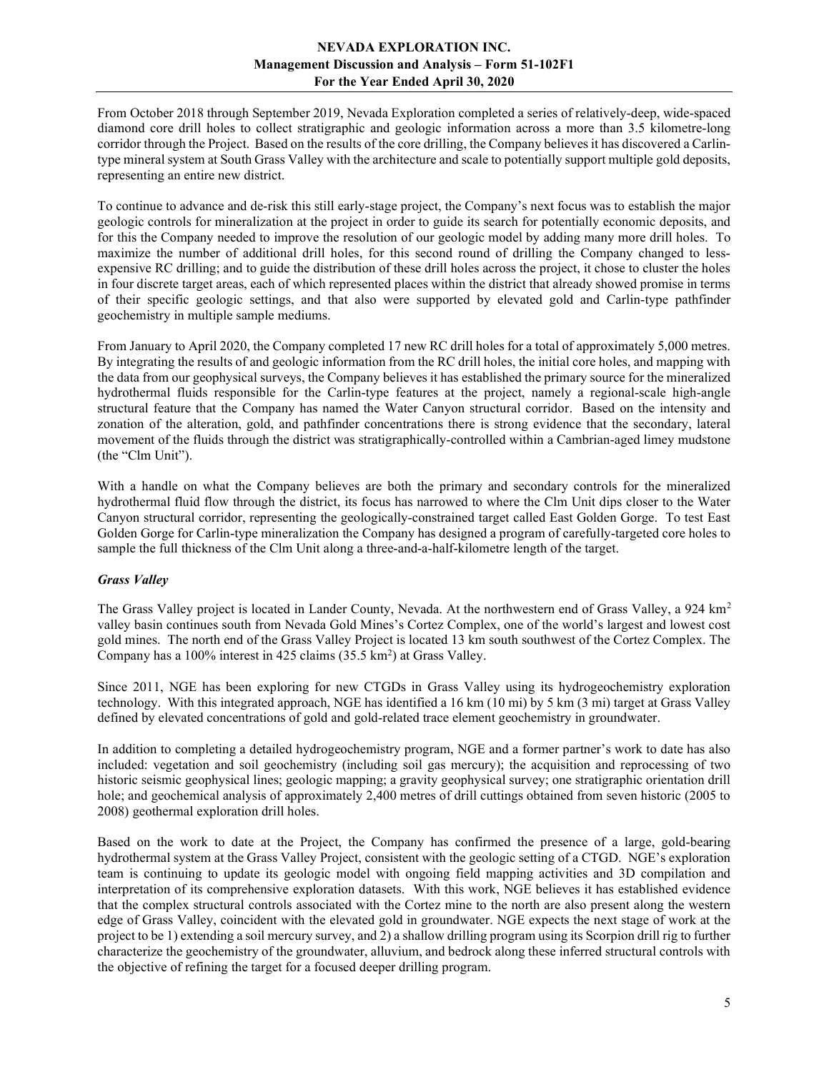From October 2018 through September 2019, Nevada Exploration completed a series of relatively-deep, wide-spaced diamond core drill holes to collect stratigraphic and geologic information across a more than 3.5 kilometre-long corridor through the Project. Based on the results of the core drilling, the Company believes it has discovered a Carlintype mineral system at South Grass Valley with the architecture and scale to potentially support multiple gold deposits, representing an entire new district.

To continue to advance and de-risk this still early-stage project, the Company's next focus was to establish the major geologic controls for mineralization at the project in order to guide its search for potentially economic deposits, and for this the Company needed to improve the resolution of our geologic model by adding many more drill holes. To maximize the number of additional drill holes, for this second round of drilling the Company changed to lessexpensive RC drilling; and to guide the distribution of these drill holes across the project, it chose to cluster the holes in four discrete target areas, each of which represented places within the district that already showed promise in terms of their specific geologic settings, and that also were supported by elevated gold and Carlin-type pathfinder geochemistry in multiple sample mediums.

From January to April 2020, the Company completed 17 new RC drill holes for a total of approximately 5,000 metres. By integrating the results of and geologic information from the RC drill holes, the initial core holes, and mapping with the data from our geophysical surveys, the Company believes it has established the primary source for the mineralized hydrothermal fluids responsible for the Carlin-type features at the project, namely a regional-scale high-angle structural feature that the Company has named the Water Canyon structural corridor. Based on the intensity and zonation of the alteration, gold, and pathfinder concentrations there is strong evidence that the secondary, lateral movement of the fluids through the district was stratigraphically-controlled within a Cambrian-aged limey mudstone (the "Clm Unit").

With a handle on what the Company believes are both the primary and secondary controls for the mineralized hydrothermal fluid flow through the district, its focus has narrowed to where the Clm Unit dips closer to the Water Canyon structural corridor, representing the geologically-constrained target called East Golden Gorge. To test East Golden Gorge for Carlin-type mineralization the Company has designed a program of carefully-targeted core holes to sample the full thickness of the Clm Unit along a three-and-a-half-kilometre length of the target.

## Grass Valley

The Grass Valley project is located in Lander County, Nevada. At the northwestern end of Grass Valley, a 924 km<sup>2</sup> valley basin continues south from Nevada Gold Mines's Cortez Complex, one of the world's largest and lowest cost gold mines. The north end of the Grass Valley Project is located 13 km south southwest of the Cortez Complex. The Company has a  $100\%$  interest in 425 claims (35.5 km<sup>2</sup>) at Grass Valley.

Since 2011, NGE has been exploring for new CTGDs in Grass Valley using its hydrogeochemistry exploration technology. With this integrated approach, NGE has identified a 16 km (10 mi) by 5 km (3 mi) target at Grass Valley defined by elevated concentrations of gold and gold-related trace element geochemistry in groundwater.

In addition to completing a detailed hydrogeochemistry program, NGE and a former partner's work to date has also included: vegetation and soil geochemistry (including soil gas mercury); the acquisition and reprocessing of two historic seismic geophysical lines; geologic mapping; a gravity geophysical survey; one stratigraphic orientation drill hole; and geochemical analysis of approximately 2,400 metres of drill cuttings obtained from seven historic (2005 to 2008) geothermal exploration drill holes.

Based on the work to date at the Project, the Company has confirmed the presence of a large, gold-bearing hydrothermal system at the Grass Valley Project, consistent with the geologic setting of a CTGD. NGE's exploration team is continuing to update its geologic model with ongoing field mapping activities and 3D compilation and interpretation of its comprehensive exploration datasets. With this work, NGE believes it has established evidence that the complex structural controls associated with the Cortez mine to the north are also present along the western edge of Grass Valley, coincident with the elevated gold in groundwater. NGE expects the next stage of work at the project to be 1) extending a soil mercury survey, and 2) a shallow drilling program using its Scorpion drill rig to further characterize the geochemistry of the groundwater, alluvium, and bedrock along these inferred structural controls with the objective of refining the target for a focused deeper drilling program.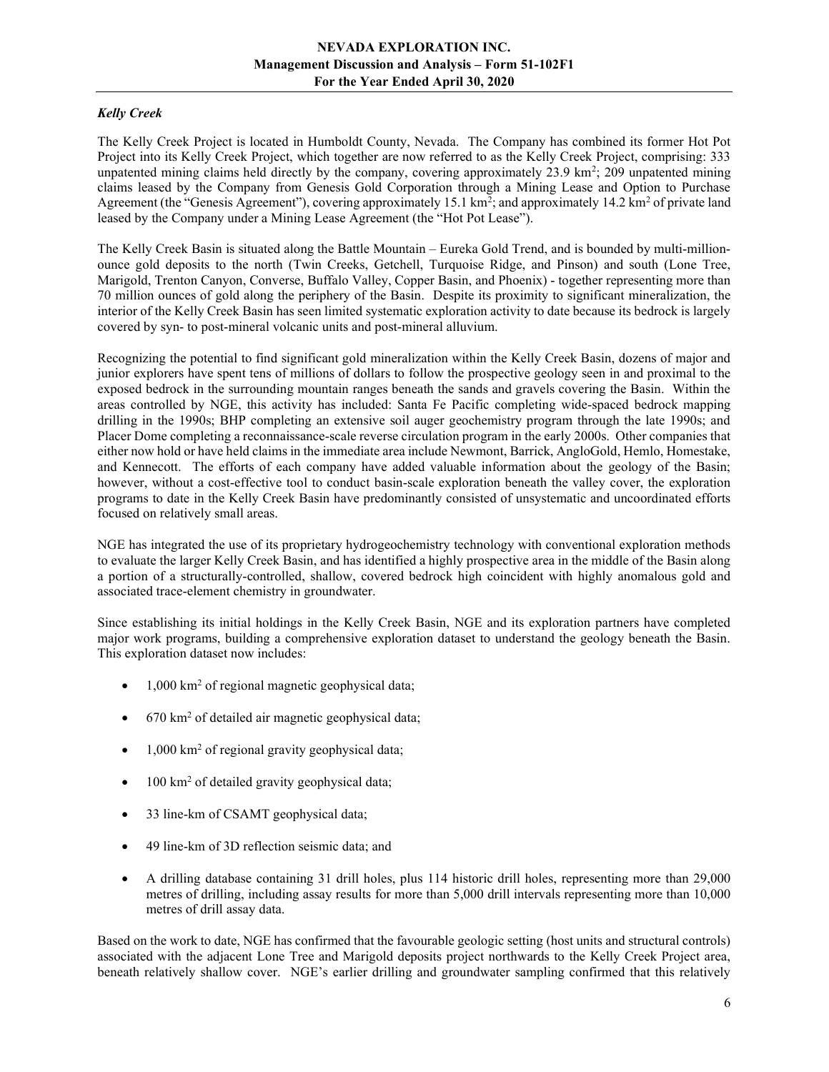# Kelly Creek

The Kelly Creek Project is located in Humboldt County, Nevada. The Company has combined its former Hot Pot Project into its Kelly Creek Project, which together are now referred to as the Kelly Creek Project, comprising: 333 unpatented mining claims held directly by the company, covering approximately 23.9 km<sup>2</sup>; 209 unpatented mining claims leased by the Company from Genesis Gold Corporation through a Mining Lease and Option to Purchase Agreement (the "Genesis Agreement"), covering approximately 15.1 km<sup>2</sup>; and approximately 14.2 km<sup>2</sup> of private land leased by the Company under a Mining Lease Agreement (the "Hot Pot Lease").

The Kelly Creek Basin is situated along the Battle Mountain – Eureka Gold Trend, and is bounded by multi-millionounce gold deposits to the north (Twin Creeks, Getchell, Turquoise Ridge, and Pinson) and south (Lone Tree, Marigold, Trenton Canyon, Converse, Buffalo Valley, Copper Basin, and Phoenix) - together representing more than 70 million ounces of gold along the periphery of the Basin. Despite its proximity to significant mineralization, the interior of the Kelly Creek Basin has seen limited systematic exploration activity to date because its bedrock is largely covered by syn- to post-mineral volcanic units and post-mineral alluvium.

Recognizing the potential to find significant gold mineralization within the Kelly Creek Basin, dozens of major and junior explorers have spent tens of millions of dollars to follow the prospective geology seen in and proximal to the exposed bedrock in the surrounding mountain ranges beneath the sands and gravels covering the Basin. Within the areas controlled by NGE, this activity has included: Santa Fe Pacific completing wide-spaced bedrock mapping drilling in the 1990s; BHP completing an extensive soil auger geochemistry program through the late 1990s; and Placer Dome completing a reconnaissance-scale reverse circulation program in the early 2000s. Other companies that either now hold or have held claims in the immediate area include Newmont, Barrick, AngloGold, Hemlo, Homestake, and Kennecott. The efforts of each company have added valuable information about the geology of the Basin; however, without a cost-effective tool to conduct basin-scale exploration beneath the valley cover, the exploration programs to date in the Kelly Creek Basin have predominantly consisted of unsystematic and uncoordinated efforts focused on relatively small areas.

NGE has integrated the use of its proprietary hydrogeochemistry technology with conventional exploration methods to evaluate the larger Kelly Creek Basin, and has identified a highly prospective area in the middle of the Basin along a portion of a structurally-controlled, shallow, covered bedrock high coincident with highly anomalous gold and associated trace-element chemistry in groundwater.

Since establishing its initial holdings in the Kelly Creek Basin, NGE and its exploration partners have completed major work programs, building a comprehensive exploration dataset to understand the geology beneath the Basin. This exploration dataset now includes:

- 1,000 km<sup>2</sup> of regional magnetic geophysical data;
- 670 km<sup>2</sup> of detailed air magnetic geophysical data;
- 1,000 km<sup>2</sup> of regional gravity geophysical data;
- $\bullet$  100 km<sup>2</sup> of detailed gravity geophysical data;
- 33 line-km of CSAMT geophysical data;
- 49 line-km of 3D reflection seismic data; and
- A drilling database containing 31 drill holes, plus 114 historic drill holes, representing more than 29,000 metres of drilling, including assay results for more than 5,000 drill intervals representing more than 10,000 metres of drill assay data.

Based on the work to date, NGE has confirmed that the favourable geologic setting (host units and structural controls) associated with the adjacent Lone Tree and Marigold deposits project northwards to the Kelly Creek Project area, beneath relatively shallow cover. NGE's earlier drilling and groundwater sampling confirmed that this relatively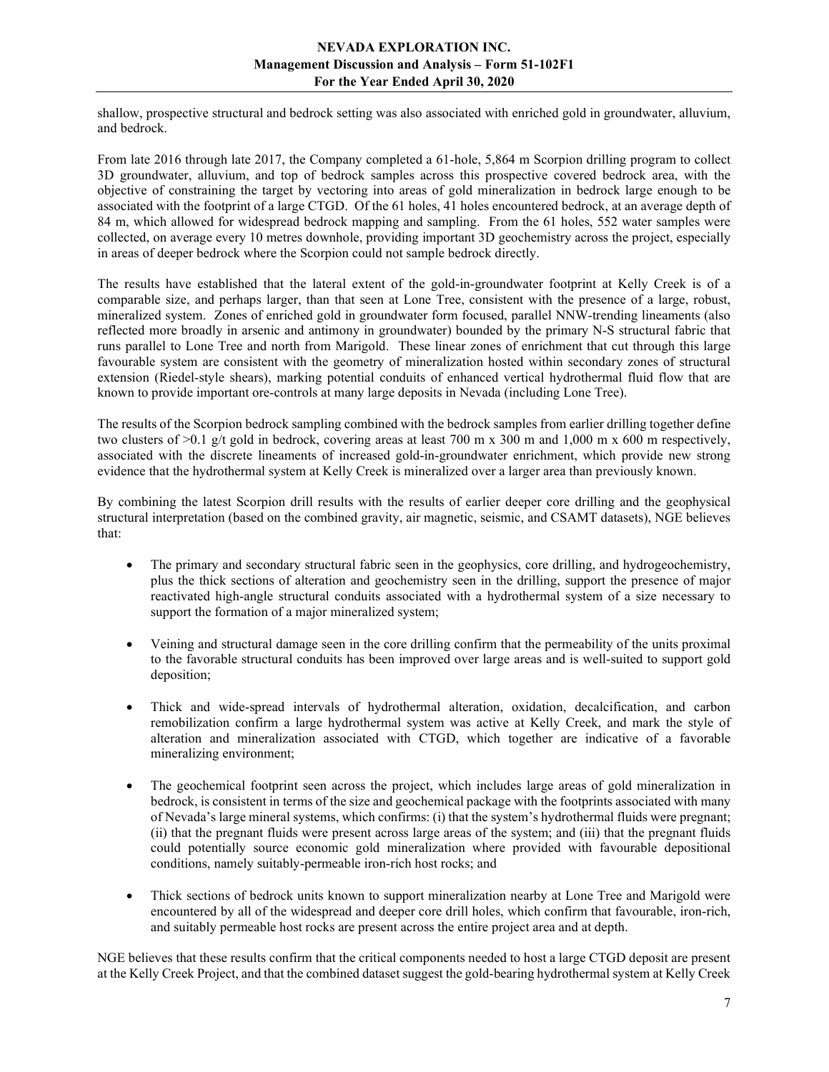shallow, prospective structural and bedrock setting was also associated with enriched gold in groundwater, alluvium, and bedrock.

From late 2016 through late 2017, the Company completed a 61-hole, 5,864 m Scorpion drilling program to collect 3D groundwater, alluvium, and top of bedrock samples across this prospective covered bedrock area, with the objective of constraining the target by vectoring into areas of gold mineralization in bedrock large enough to be associated with the footprint of a large CTGD. Of the 61 holes, 41 holes encountered bedrock, at an average depth of 84 m, which allowed for widespread bedrock mapping and sampling. From the 61 holes, 552 water samples were collected, on average every 10 metres downhole, providing important 3D geochemistry across the project, especially in areas of deeper bedrock where the Scorpion could not sample bedrock directly.

The results have established that the lateral extent of the gold-in-groundwater footprint at Kelly Creek is of a comparable size, and perhaps larger, than that seen at Lone Tree, consistent with the presence of a large, robust, mineralized system. Zones of enriched gold in groundwater form focused, parallel NNW-trending lineaments (also reflected more broadly in arsenic and antimony in groundwater) bounded by the primary N-S structural fabric that runs parallel to Lone Tree and north from Marigold. These linear zones of enrichment that cut through this large favourable system are consistent with the geometry of mineralization hosted within secondary zones of structural extension (Riedel-style shears), marking potential conduits of enhanced vertical hydrothermal fluid flow that are known to provide important ore-controls at many large deposits in Nevada (including Lone Tree).

The results of the Scorpion bedrock sampling combined with the bedrock samples from earlier drilling together define two clusters of  $>0.1$  g/t gold in bedrock, covering areas at least 700 m x 300 m and 1,000 m x 600 m respectively, associated with the discrete lineaments of increased gold-in-groundwater enrichment, which provide new strong evidence that the hydrothermal system at Kelly Creek is mineralized over a larger area than previously known.

By combining the latest Scorpion drill results with the results of earlier deeper core drilling and the geophysical structural interpretation (based on the combined gravity, air magnetic, seismic, and CSAMT datasets), NGE believes that:

- The primary and secondary structural fabric seen in the geophysics, core drilling, and hydrogeochemistry, plus the thick sections of alteration and geochemistry seen in the drilling, support the presence of major reactivated high-angle structural conduits associated with a hydrothermal system of a size necessary to support the formation of a major mineralized system;
- Veining and structural damage seen in the core drilling confirm that the permeability of the units proximal to the favorable structural conduits has been improved over large areas and is well-suited to support gold deposition;
- Thick and wide-spread intervals of hydrothermal alteration, oxidation, decalcification, and carbon remobilization confirm a large hydrothermal system was active at Kelly Creek, and mark the style of alteration and mineralization associated with CTGD, which together are indicative of a favorable mineralizing environment;
- The geochemical footprint seen across the project, which includes large areas of gold mineralization in bedrock, is consistent in terms of the size and geochemical package with the footprints associated with many of Nevada's large mineral systems, which confirms: (i) that the system's hydrothermal fluids were pregnant; (ii) that the pregnant fluids were present across large areas of the system; and (iii) that the pregnant fluids could potentially source economic gold mineralization where provided with favourable depositional conditions, namely suitably-permeable iron-rich host rocks; and
- Thick sections of bedrock units known to support mineralization nearby at Lone Tree and Marigold were encountered by all of the widespread and deeper core drill holes, which confirm that favourable, iron-rich, and suitably permeable host rocks are present across the entire project area and at depth.

NGE believes that these results confirm that the critical components needed to host a large CTGD deposit are present at the Kelly Creek Project, and that the combined dataset suggest the gold-bearing hydrothermal system at Kelly Creek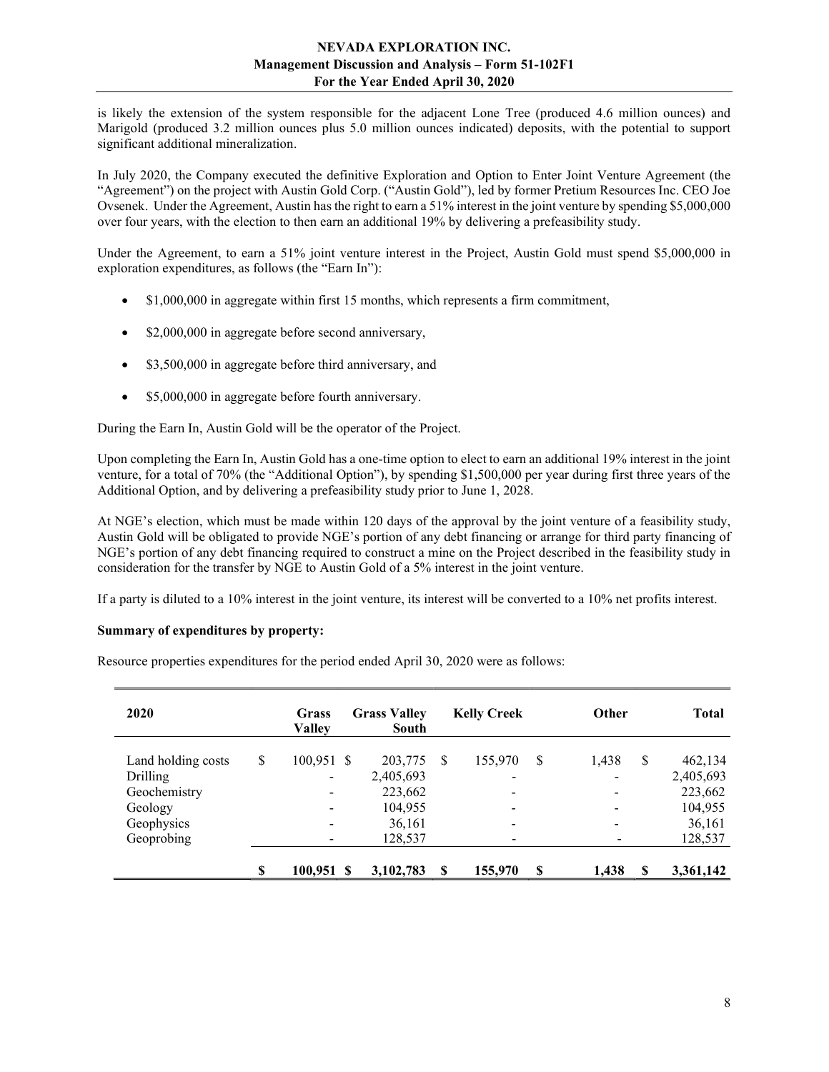is likely the extension of the system responsible for the adjacent Lone Tree (produced 4.6 million ounces) and Marigold (produced 3.2 million ounces plus 5.0 million ounces indicated) deposits, with the potential to support significant additional mineralization.

In July 2020, the Company executed the definitive Exploration and Option to Enter Joint Venture Agreement (the "Agreement") on the project with Austin Gold Corp. ("Austin Gold"), led by former Pretium Resources Inc. CEO Joe Ovsenek. Under the Agreement, Austin has the right to earn a 51% interest in the joint venture by spending \$5,000,000 over four years, with the election to then earn an additional 19% by delivering a prefeasibility study.

Under the Agreement, to earn a 51% joint venture interest in the Project, Austin Gold must spend \$5,000,000 in exploration expenditures, as follows (the "Earn In"):

- \$1,000,000 in aggregate within first 15 months, which represents a firm commitment,
- \$2,000,000 in aggregate before second anniversary,
- \$3,500,000 in aggregate before third anniversary, and
- \$5,000,000 in aggregate before fourth anniversary.

During the Earn In, Austin Gold will be the operator of the Project.

Upon completing the Earn In, Austin Gold has a one-time option to elect to earn an additional 19% interest in the joint venture, for a total of 70% (the "Additional Option"), by spending \$1,500,000 per year during first three years of the Additional Option, and by delivering a prefeasibility study prior to June 1, 2028.

At NGE's election, which must be made within 120 days of the approval by the joint venture of a feasibility study, Austin Gold will be obligated to provide NGE's portion of any debt financing or arrange for third party financing of NGE's portion of any debt financing required to construct a mine on the Project described in the feasibility study in consideration for the transfer by NGE to Austin Gold of a 5% interest in the joint venture.

If a party is diluted to a 10% interest in the joint venture, its interest will be converted to a 10% net profits interest.

## Summary of expenditures by property:

Resource properties expenditures for the period ended April 30, 2020 were as follows:

| 2020               | Grass<br><b>Valley</b>   | <b>Grass Valley</b><br>South |   | <b>Kelly Creek</b>       |   | <b>Other</b>             |    | <b>Total</b> |
|--------------------|--------------------------|------------------------------|---|--------------------------|---|--------------------------|----|--------------|
| Land holding costs | \$<br>$100,951$ \$       | 203,775                      | S | 155,970                  | S | 1,438                    | \$ | 462,134      |
| Drilling           | $\overline{\phantom{a}}$ | 2,405,693                    |   | $\overline{\phantom{0}}$ |   | $\overline{\phantom{0}}$ |    | 2,405,693    |
| Geochemistry       | $\overline{\phantom{0}}$ | 223,662                      |   | $\overline{\phantom{a}}$ |   | $\overline{\phantom{a}}$ |    | 223,662      |
| Geology            | ۰                        | 104,955                      |   | $\overline{\phantom{0}}$ |   | $\overline{\phantom{a}}$ |    | 104,955      |
| Geophysics         | ٠                        | 36,161                       |   | $\overline{\phantom{0}}$ |   | $\overline{\phantom{a}}$ |    | 36,161       |
| Geoprobing         | $\qquad \qquad$          | 128,537                      |   | $\qquad \qquad$          |   |                          |    | 128,537      |
|                    | \$<br>$100,951$ \$       | 3,102,783                    | S | 155,970                  | S | 1,438                    | S  | 3,361,142    |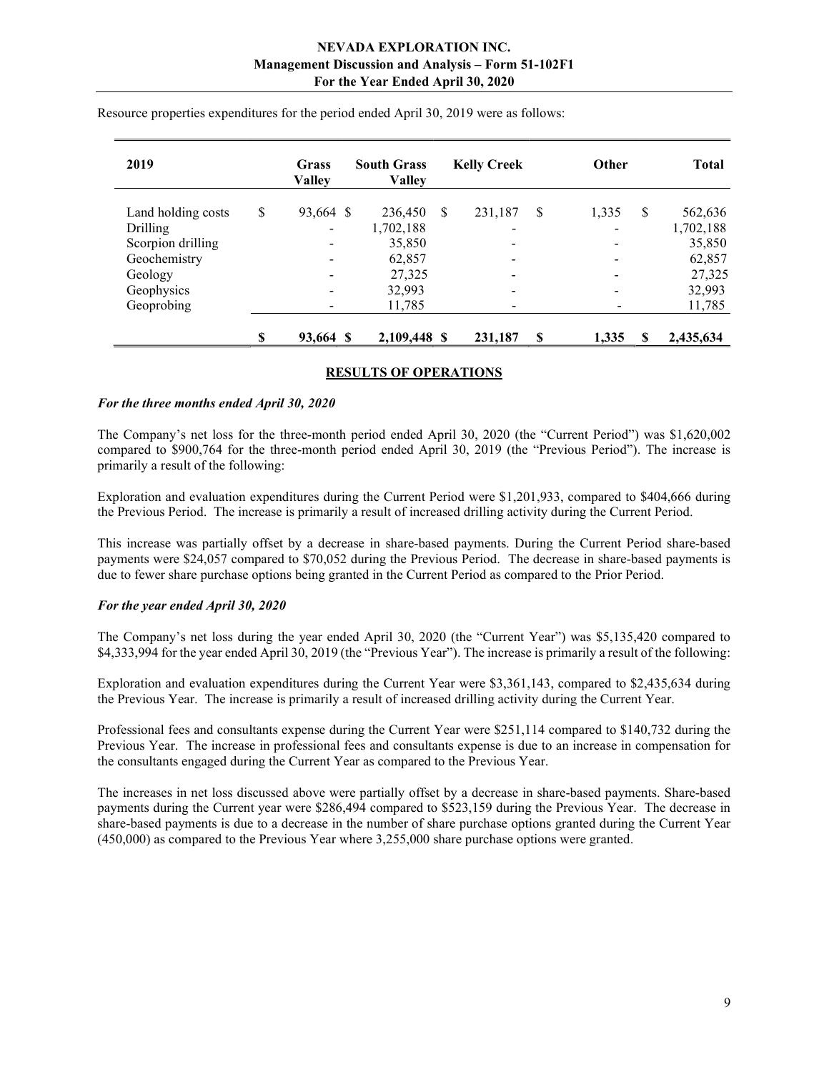| 2019               |    | Grass<br><b>Valley</b>       | <b>South Grass</b><br><b>Valley</b> |   | <b>Kelly Creek</b>       |   | Other                  | <b>Total</b> |
|--------------------|----|------------------------------|-------------------------------------|---|--------------------------|---|------------------------|--------------|
| Land holding costs | \$ | 93,664 \$                    | 236,450                             | S | 231,187                  | S | <sup>\$</sup><br>1,335 | 562,636      |
| Drilling           |    | -                            | 1,702,188                           |   | $\overline{\phantom{a}}$ |   |                        | 1,702,188    |
| Scorpion drilling  |    | -                            | 35,850                              |   |                          |   | -                      | 35,850       |
| Geochemistry       |    | $\qquad \qquad \blacksquare$ | 62,857                              |   | $\overline{\phantom{a}}$ |   |                        | 62,857       |
| Geology            |    | -                            | 27,325                              |   |                          |   |                        | 27,325       |
| Geophysics         |    | -                            | 32,993                              |   | $\overline{\phantom{a}}$ |   |                        | 32,993       |
| Geoprobing         |    | -                            | 11,785                              |   | -                        |   |                        | 11,785       |
|                    | S  | 93,664 \$                    | 2,109,448 \$                        |   | 231,187                  | S | 1,335<br>S             | 2,435,634    |

Resource properties expenditures for the period ended April 30, 2019 were as follows:

## RESULTS OF OPERATIONS

#### For the three months ended April 30, 2020

The Company's net loss for the three-month period ended April 30, 2020 (the "Current Period") was \$1,620,002 compared to \$900,764 for the three-month period ended April 30, 2019 (the "Previous Period"). The increase is primarily a result of the following:

Exploration and evaluation expenditures during the Current Period were \$1,201,933, compared to \$404,666 during the Previous Period. The increase is primarily a result of increased drilling activity during the Current Period.

This increase was partially offset by a decrease in share-based payments. During the Current Period share-based payments were \$24,057 compared to \$70,052 during the Previous Period. The decrease in share-based payments is due to fewer share purchase options being granted in the Current Period as compared to the Prior Period.

## For the year ended April 30, 2020

The Company's net loss during the year ended April 30, 2020 (the "Current Year") was \$5,135,420 compared to \$4,333,994 for the year ended April 30, 2019 (the "Previous Year"). The increase is primarily a result of the following:

Exploration and evaluation expenditures during the Current Year were \$3,361,143, compared to \$2,435,634 during the Previous Year. The increase is primarily a result of increased drilling activity during the Current Year.

Professional fees and consultants expense during the Current Year were \$251,114 compared to \$140,732 during the Previous Year. The increase in professional fees and consultants expense is due to an increase in compensation for the consultants engaged during the Current Year as compared to the Previous Year.

The increases in net loss discussed above were partially offset by a decrease in share-based payments. Share-based payments during the Current year were \$286,494 compared to \$523,159 during the Previous Year. The decrease in share-based payments is due to a decrease in the number of share purchase options granted during the Current Year (450,000) as compared to the Previous Year where 3,255,000 share purchase options were granted.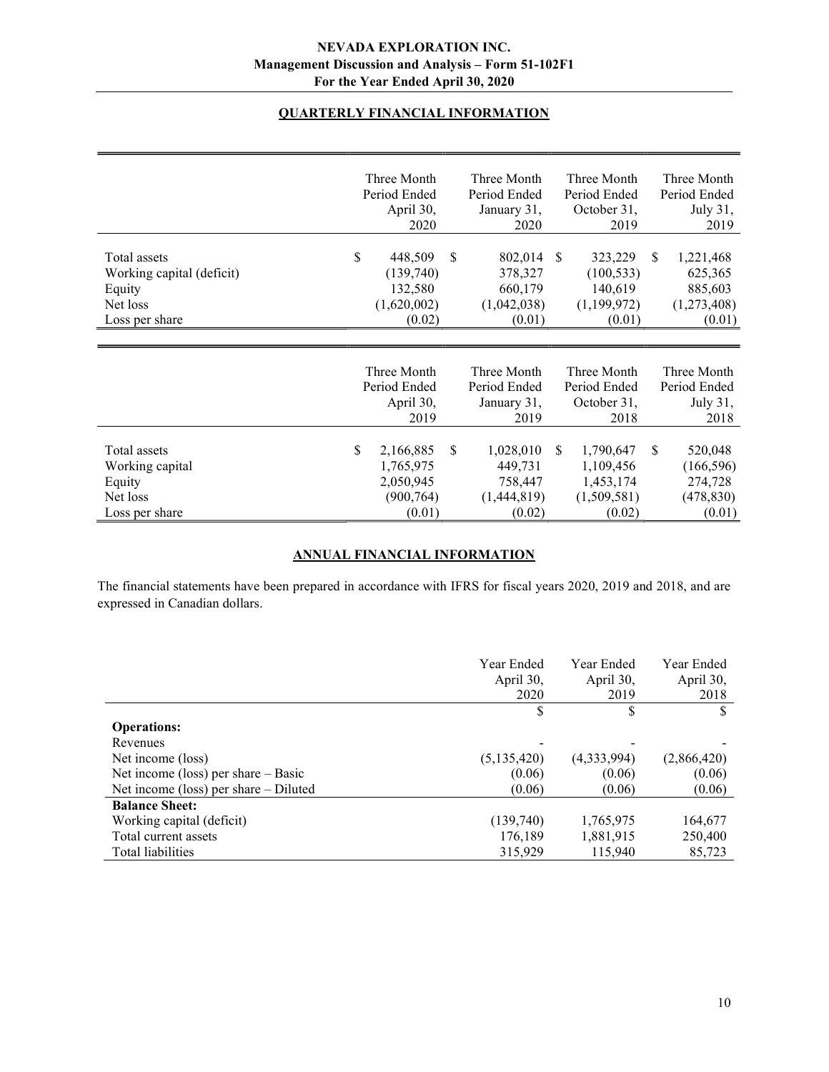# QUARTERLY FINANCIAL INFORMATION

|                                                                                   | Three Month<br>Period Ended               | April 30,<br>2020                                          | Three Month<br>Period Ended<br>January 31,<br>2020       | Three Month<br>Period Ended<br>October 31,<br>2019                         | Three Month<br>Period Ended<br>July 31,<br>2019                           |
|-----------------------------------------------------------------------------------|-------------------------------------------|------------------------------------------------------------|----------------------------------------------------------|----------------------------------------------------------------------------|---------------------------------------------------------------------------|
| Total assets<br>Working capital (deficit)<br>Equity<br>Net loss<br>Loss per share | \$<br>(1,620,002)                         | 448,509<br><sup>\$</sup><br>(139,740)<br>132,580<br>(0.02) | 802,014<br>378,327<br>660,179<br>(1,042,038)<br>(0.01)   | <sup>\$</sup><br>323,229<br>(100, 533)<br>140,619<br>(1,199,972)<br>(0.01) | 1,221,468<br>\$.<br>625,365<br>885,603<br>(1,273,408)<br>(0.01)           |
|                                                                                   | Three Month<br>Period Ended               | April 30,<br>2019                                          | Three Month<br>Period Ended<br>January 31,<br>2019       | Three Month<br>Period Ended<br>October 31,<br>2018                         | Three Month<br>Period Ended<br>July 31,<br>2018                           |
| Total assets<br>Working capital<br>Equity<br>Net loss<br>Loss per share           | \$<br>2,166,885<br>1,765,975<br>2,050,945 | \$<br>(900, 764)<br>(0.01)                                 | 1,028,010<br>449,731<br>758,447<br>(1,444,819)<br>(0.02) | 1,790,647<br>S.<br>1,109,456<br>1,453,174<br>(1,509,581)<br>(0.02)         | <sup>\$</sup><br>520,048<br>(166, 596)<br>274,728<br>(478, 830)<br>(0.01) |

# ANNUAL FINANCIAL INFORMATION

The financial statements have been prepared in accordance with IFRS for fiscal years 2020, 2019 and 2018, and are expressed in Canadian dollars.

|                                         | Year Ended<br>April 30,<br>2020 | Year Ended<br>April 30,<br>2019 | Year Ended<br>April 30,<br>2018 |
|-----------------------------------------|---------------------------------|---------------------------------|---------------------------------|
|                                         | \$                              |                                 | \$                              |
| <b>Operations:</b>                      |                                 |                                 |                                 |
| Revenues                                |                                 |                                 |                                 |
| Net income (loss)                       | (5, 135, 420)                   | (4,333,994)                     | (2,866,420)                     |
| Net income (loss) per share $-$ Basic   | (0.06)                          | (0.06)                          | (0.06)                          |
| Net income (loss) per share $-$ Diluted | (0.06)                          | (0.06)                          | (0.06)                          |
| <b>Balance Sheet:</b>                   |                                 |                                 |                                 |
| Working capital (deficit)               | (139,740)                       | 1,765,975                       | 164,677                         |
| Total current assets                    | 176,189                         | 1,881,915                       | 250,400                         |
| Total liabilities                       | 315,929                         | 115,940                         | 85,723                          |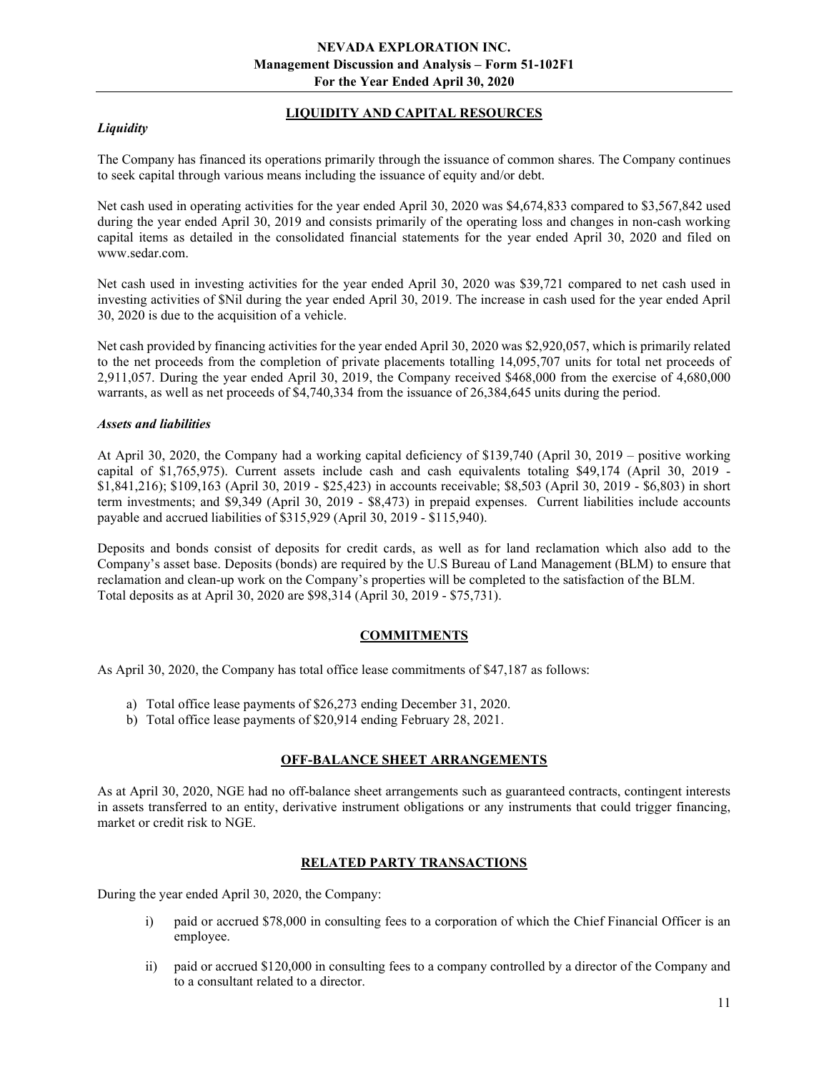# **Liquidity**

# LIQUIDITY AND CAPITAL RESOURCES

The Company has financed its operations primarily through the issuance of common shares. The Company continues to seek capital through various means including the issuance of equity and/or debt.

Net cash used in operating activities for the year ended April 30, 2020 was \$4,674,833 compared to \$3,567,842 used during the year ended April 30, 2019 and consists primarily of the operating loss and changes in non-cash working capital items as detailed in the consolidated financial statements for the year ended April 30, 2020 and filed on www.sedar.com.

Net cash used in investing activities for the year ended April 30, 2020 was \$39,721 compared to net cash used in investing activities of \$Nil during the year ended April 30, 2019. The increase in cash used for the year ended April 30, 2020 is due to the acquisition of a vehicle.

Net cash provided by financing activities for the year ended April 30, 2020 was \$2,920,057, which is primarily related to the net proceeds from the completion of private placements totalling 14,095,707 units for total net proceeds of 2,911,057. During the year ended April 30, 2019, the Company received \$468,000 from the exercise of 4,680,000 warrants, as well as net proceeds of \$4,740,334 from the issuance of 26,384,645 units during the period.

#### Assets and liabilities

At April 30, 2020, the Company had a working capital deficiency of \$139,740 (April 30, 2019 – positive working capital of \$1,765,975). Current assets include cash and cash equivalents totaling \$49,174 (April 30, 2019 - \$1,841,216); \$109,163 (April 30, 2019 - \$25,423) in accounts receivable; \$8,503 (April 30, 2019 - \$6,803) in short term investments; and \$9,349 (April 30, 2019 - \$8,473) in prepaid expenses. Current liabilities include accounts payable and accrued liabilities of \$315,929 (April 30, 2019 - \$115,940).

Deposits and bonds consist of deposits for credit cards, as well as for land reclamation which also add to the Company's asset base. Deposits (bonds) are required by the U.S Bureau of Land Management (BLM) to ensure that reclamation and clean-up work on the Company's properties will be completed to the satisfaction of the BLM. Total deposits as at April 30, 2020 are \$98,314 (April 30, 2019 - \$75,731).

## COMMITMENTS

As April 30, 2020, the Company has total office lease commitments of \$47,187 as follows:

- a) Total office lease payments of \$26,273 ending December 31, 2020.
- b) Total office lease payments of \$20,914 ending February 28, 2021.

## OFF-BALANCE SHEET ARRANGEMENTS

As at April 30, 2020, NGE had no off-balance sheet arrangements such as guaranteed contracts, contingent interests in assets transferred to an entity, derivative instrument obligations or any instruments that could trigger financing, market or credit risk to NGE.

## RELATED PARTY TRANSACTIONS

During the year ended April 30, 2020, the Company:

- i) paid or accrued \$78,000 in consulting fees to a corporation of which the Chief Financial Officer is an employee.
- ii) paid or accrued \$120,000 in consulting fees to a company controlled by a director of the Company and to a consultant related to a director.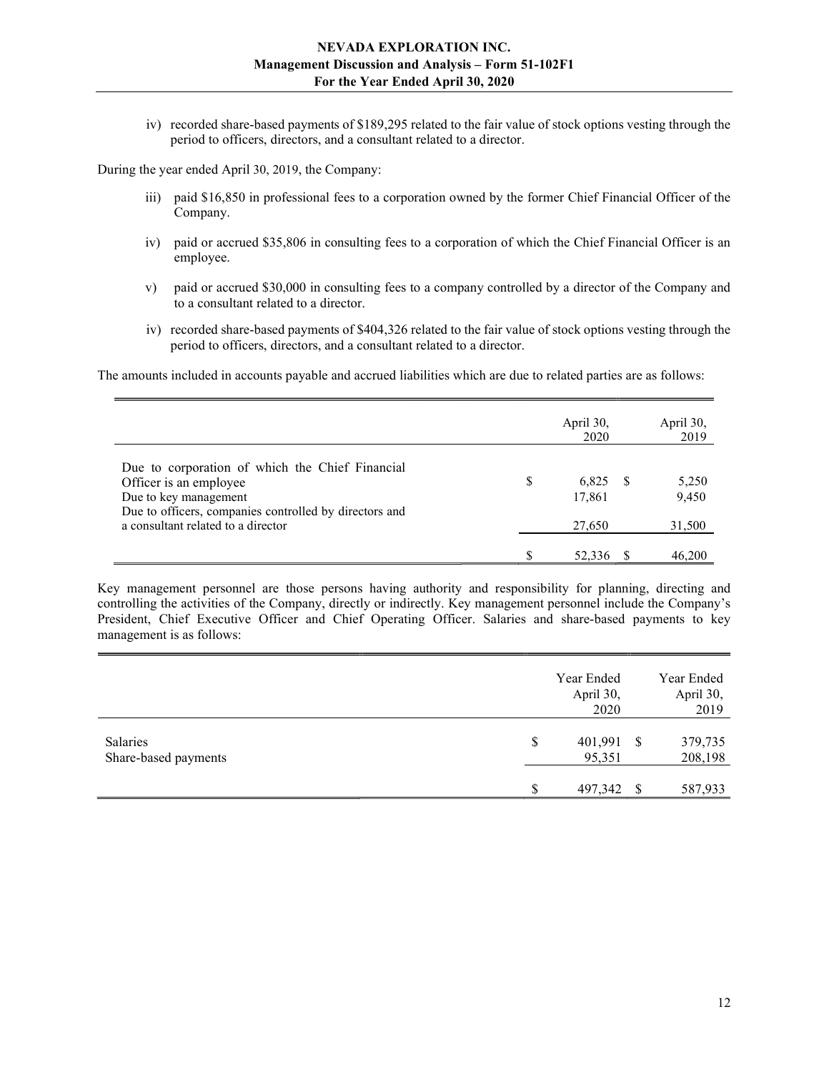iv) recorded share-based payments of \$189,295 related to the fair value of stock options vesting through the period to officers, directors, and a consultant related to a director.

During the year ended April 30, 2019, the Company:

- iii) paid \$16,850 in professional fees to a corporation owned by the former Chief Financial Officer of the Company.
- iv) paid or accrued \$35,806 in consulting fees to a corporation of which the Chief Financial Officer is an employee.
- v) paid or accrued \$30,000 in consulting fees to a company controlled by a director of the Company and to a consultant related to a director.
- iv) recorded share-based payments of \$404,326 related to the fair value of stock options vesting through the period to officers, directors, and a consultant related to a director.

The amounts included in accounts payable and accrued liabilities which are due to related parties are as follows:

|                                                                                                                                                                                                    | April 30,<br>2020               | April 30,<br>2019        |
|----------------------------------------------------------------------------------------------------------------------------------------------------------------------------------------------------|---------------------------------|--------------------------|
| Due to corporation of which the Chief Financial<br>Officer is an employee<br>Due to key management<br>Due to officers, companies controlled by directors and<br>a consultant related to a director | \$<br>6,825<br>17,861<br>27,650 | 5,250<br>9,450<br>31,500 |
|                                                                                                                                                                                                    |                                 | 46.200                   |

Key management personnel are those persons having authority and responsibility for planning, directing and controlling the activities of the Company, directly or indirectly. Key management personnel include the Company's President, Chief Executive Officer and Chief Operating Officer. Salaries and share-based payments to key management is as follows:

|                                         | Year Ended<br>April 30,<br>2020 |      | Year Ended<br>April 30,<br>2019 |
|-----------------------------------------|---------------------------------|------|---------------------------------|
| <b>Salaries</b><br>Share-based payments | \$<br>401,991<br>95,351         | - \$ | 379,735<br>208,198              |
|                                         | 497,342                         | - \$ | 587,933                         |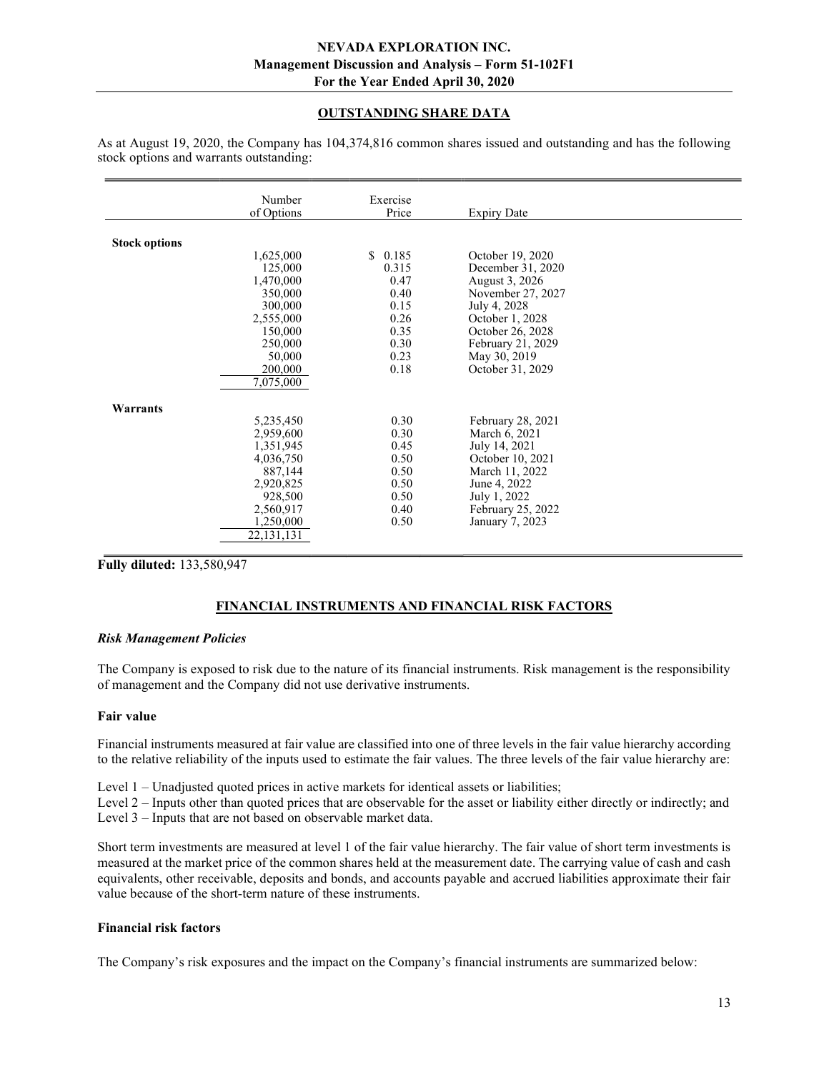# OUTSTANDING SHARE DATA

|                      | Number<br>of Options | Exercise<br>Price | <b>Expiry Date</b> |  |
|----------------------|----------------------|-------------------|--------------------|--|
|                      |                      |                   |                    |  |
| <b>Stock options</b> |                      |                   |                    |  |
|                      | 1,625,000            | \$0.185           | October 19, 2020   |  |
|                      | 125,000              | 0.315             | December 31, 2020  |  |
|                      | 1,470,000            | 0.47              | August 3, 2026     |  |
|                      | 350,000              | 0.40              | November 27, 2027  |  |
|                      | 300,000              | 0.15              | July 4, 2028       |  |
|                      | 2,555,000            | 0.26              | October 1, 2028    |  |
|                      | 150,000              | 0.35              | October 26, 2028   |  |
|                      | 250,000              | 0.30              | February 21, 2029  |  |
|                      | 50,000               | 0.23              | May 30, 2019       |  |
|                      | 200,000              | 0.18              | October 31, 2029   |  |
|                      | 7,075,000            |                   |                    |  |
| Warrants             |                      |                   |                    |  |
|                      | 5,235,450            | 0.30              | February 28, 2021  |  |
|                      | 2,959,600            | 0.30              | March 6, 2021      |  |
|                      | 1,351,945            | 0.45              | July 14, 2021      |  |
|                      | 4,036,750            | 0.50              | October 10, 2021   |  |
|                      | 887,144              | 0.50              | March 11, 2022     |  |
|                      | 2,920,825            | 0.50              | June 4, 2022       |  |
|                      | 928,500              | 0.50              | July 1, 2022       |  |
|                      | 2,560,917            | 0.40              | February 25, 2022  |  |
|                      | 1,250,000            | 0.50              | January 7, 2023    |  |
|                      | 22, 131, 131         |                   |                    |  |
|                      |                      |                   |                    |  |

As at August 19, 2020, the Company has 104,374,816 common shares issued and outstanding and has the following stock options and warrants outstanding:

Fully diluted: 133,580,947

# FINANCIAL INSTRUMENTS AND FINANCIAL RISK FACTORS

#### Risk Management Policies

The Company is exposed to risk due to the nature of its financial instruments. Risk management is the responsibility of management and the Company did not use derivative instruments.

#### Fair value

Financial instruments measured at fair value are classified into one of three levels in the fair value hierarchy according to the relative reliability of the inputs used to estimate the fair values. The three levels of the fair value hierarchy are:

Level 1 – Unadjusted quoted prices in active markets for identical assets or liabilities;

Level 2 – Inputs other than quoted prices that are observable for the asset or liability either directly or indirectly; and Level 3 – Inputs that are not based on observable market data.

Short term investments are measured at level 1 of the fair value hierarchy. The fair value of short term investments is measured at the market price of the common shares held at the measurement date. The carrying value of cash and cash equivalents, other receivable, deposits and bonds, and accounts payable and accrued liabilities approximate their fair value because of the short-term nature of these instruments.

## Financial risk factors

The Company's risk exposures and the impact on the Company's financial instruments are summarized below: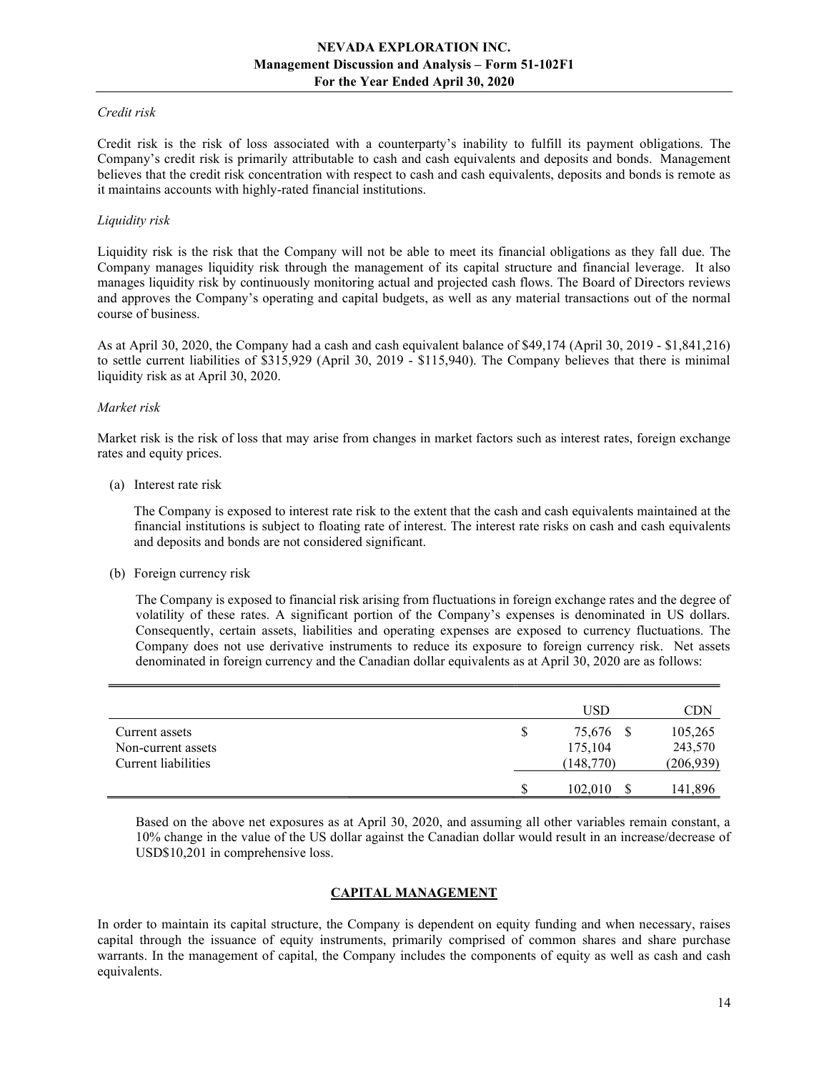#### Credit risk

Credit risk is the risk of loss associated with a counterparty's inability to fulfill its payment obligations. The Company's credit risk is primarily attributable to cash and cash equivalents and deposits and bonds. Management believes that the credit risk concentration with respect to cash and cash equivalents, deposits and bonds is remote as it maintains accounts with highly-rated financial institutions.

#### Liquidity risk

Liquidity risk is the risk that the Company will not be able to meet its financial obligations as they fall due. The Company manages liquidity risk through the management of its capital structure and financial leverage. It also manages liquidity risk by continuously monitoring actual and projected cash flows. The Board of Directors reviews and approves the Company's operating and capital budgets, as well as any material transactions out of the normal course of business.

As at April 30, 2020, the Company had a cash and cash equivalent balance of \$49,174 (April 30, 2019 - \$1,841,216) to settle current liabilities of \$315,929 (April 30, 2019 - \$115,940). The Company believes that there is minimal liquidity risk as at April 30, 2020.

#### Market risk

Market risk is the risk of loss that may arise from changes in market factors such as interest rates, foreign exchange rates and equity prices.

(a) Interest rate risk

 The Company is exposed to interest rate risk to the extent that the cash and cash equivalents maintained at the financial institutions is subject to floating rate of interest. The interest rate risks on cash and cash equivalents and deposits and bonds are not considered significant.

(b) Foreign currency risk

The Company is exposed to financial risk arising from fluctuations in foreign exchange rates and the degree of volatility of these rates. A significant portion of the Company's expenses is denominated in US dollars. Consequently, certain assets, liabilities and operating expenses are exposed to currency fluctuations. The Company does not use derivative instruments to reduce its exposure to foreign currency risk. Net assets denominated in foreign currency and the Canadian dollar equivalents as at April 30, 2020 are as follows:

|                     |   | USD       | CDN        |
|---------------------|---|-----------|------------|
| Current assets      | S | 75,676 \$ | 105,265    |
| Non-current assets  |   | 175,104   | 243,570    |
| Current liabilities |   | (148,770) | (206, 939) |
|                     | S | 102,010   | 141,896    |

Based on the above net exposures as at April 30, 2020, and assuming all other variables remain constant, a 10% change in the value of the US dollar against the Canadian dollar would result in an increase/decrease of USD\$10,201 in comprehensive loss.

## CAPITAL MANAGEMENT

In order to maintain its capital structure, the Company is dependent on equity funding and when necessary, raises capital through the issuance of equity instruments, primarily comprised of common shares and share purchase warrants. In the management of capital, the Company includes the components of equity as well as cash and cash equivalents.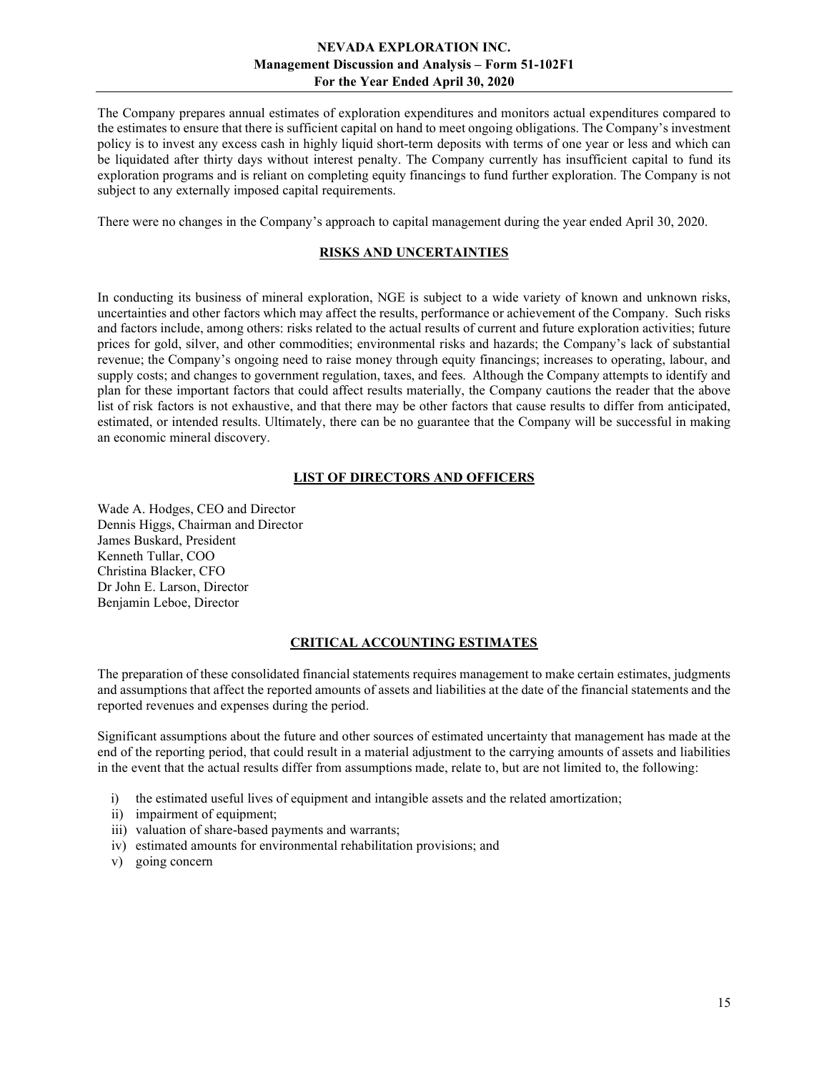The Company prepares annual estimates of exploration expenditures and monitors actual expenditures compared to the estimates to ensure that there is sufficient capital on hand to meet ongoing obligations. The Company's investment policy is to invest any excess cash in highly liquid short-term deposits with terms of one year or less and which can be liquidated after thirty days without interest penalty. The Company currently has insufficient capital to fund its exploration programs and is reliant on completing equity financings to fund further exploration. The Company is not subject to any externally imposed capital requirements.

There were no changes in the Company's approach to capital management during the year ended April 30, 2020.

# RISKS AND UNCERTAINTIES

In conducting its business of mineral exploration, NGE is subject to a wide variety of known and unknown risks, uncertainties and other factors which may affect the results, performance or achievement of the Company. Such risks and factors include, among others: risks related to the actual results of current and future exploration activities; future prices for gold, silver, and other commodities; environmental risks and hazards; the Company's lack of substantial revenue; the Company's ongoing need to raise money through equity financings; increases to operating, labour, and supply costs; and changes to government regulation, taxes, and fees. Although the Company attempts to identify and plan for these important factors that could affect results materially, the Company cautions the reader that the above list of risk factors is not exhaustive, and that there may be other factors that cause results to differ from anticipated, estimated, or intended results. Ultimately, there can be no guarantee that the Company will be successful in making an economic mineral discovery.

## LIST OF DIRECTORS AND OFFICERS

Wade A. Hodges, CEO and Director Dennis Higgs, Chairman and Director James Buskard, President Kenneth Tullar, COO Christina Blacker, CFO Dr John E. Larson, Director Benjamin Leboe, Director

## CRITICAL ACCOUNTING ESTIMATES

The preparation of these consolidated financial statements requires management to make certain estimates, judgments and assumptions that affect the reported amounts of assets and liabilities at the date of the financial statements and the reported revenues and expenses during the period.

Significant assumptions about the future and other sources of estimated uncertainty that management has made at the end of the reporting period, that could result in a material adjustment to the carrying amounts of assets and liabilities in the event that the actual results differ from assumptions made, relate to, but are not limited to, the following:

- i) the estimated useful lives of equipment and intangible assets and the related amortization;
- ii) impairment of equipment;
- iii) valuation of share-based payments and warrants;
- iv) estimated amounts for environmental rehabilitation provisions; and
- v) going concern